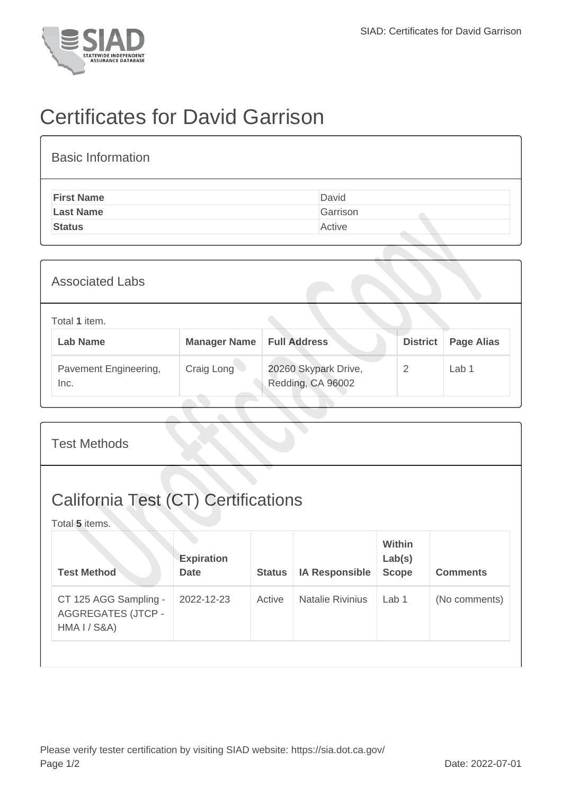

## Certificates for David Garrison

| <b>Basic Information</b> |          |
|--------------------------|----------|
| <b>First Name</b>        | David    |
| <b>Last Name</b>         | Garrison |
| <b>Status</b>            | Active   |
|                          |          |

| <b>Associated Labs</b>           |                     |                                           |                 |                   |  |  |
|----------------------------------|---------------------|-------------------------------------------|-----------------|-------------------|--|--|
| Total 1 item.<br><b>Lab Name</b> | <b>Manager Name</b> | <b>Full Address</b>                       | <b>District</b> | <b>Page Alias</b> |  |  |
| Pavement Engineering,<br>Inc.    | Craig Long          | 20260 Skypark Drive,<br>Redding, CA 96002 | 2               | Lab <sub>1</sub>  |  |  |

| <b>Test Methods</b>                                                |                                  |               |                         |                                  |                 |  |
|--------------------------------------------------------------------|----------------------------------|---------------|-------------------------|----------------------------------|-----------------|--|
| <b>California Test (CT) Certifications</b><br>Total 5 items.       |                                  |               |                         |                                  |                 |  |
| <b>Test Method</b>                                                 | <b>Expiration</b><br><b>Date</b> | <b>Status</b> | <b>IA Responsible</b>   | Within<br>Lab(s)<br><b>Scope</b> | <b>Comments</b> |  |
| CT 125 AGG Sampling -<br><b>AGGREGATES (JTCP -</b><br>HMA I / S&A) | 2022-12-23                       | Active        | <b>Natalie Rivinius</b> | Lab 1                            | (No comments)   |  |